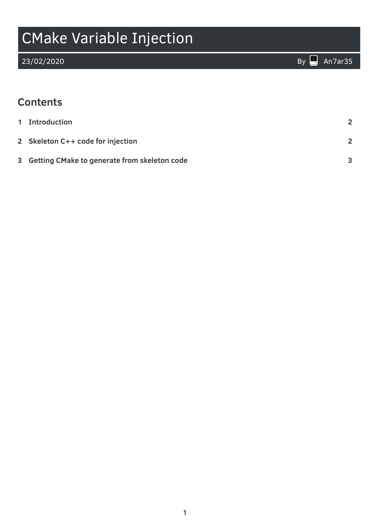# CMake Variable Injection

### **Contents**

| 1 Introduction                                 |              |
|------------------------------------------------|--------------|
| 2 Skeleton C++ code for injection              |              |
| 3 Getting CMake to generate from skeleton code | $\mathbf{R}$ |

23/02/2020 By [An7ar35](https://an7ar35.bitbucket.io/)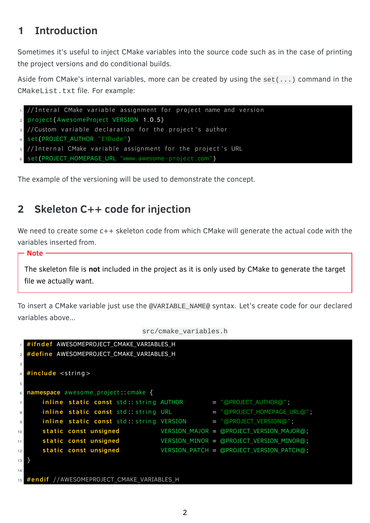## <span id="page-1-0"></span>**1 Introduction**

Sometimes it's useful to inject CMake variables into the source code such as in the case of printing the project versions and do conditional builds.

Aside from CMake's internal variables, more can be created by using the set(...) command in the CMakeList.txt file. For example:

```
1 // Interal CMake variable assignment for project name and version
2 project (AwesomeProject VERSION 1.0.5)
3 //Custom variable declaration for the project's author
4 set (PROJECT_AUTHOR "ElDude")
5 // Internal CMake variable assignment for the project's URL
6 s e t (PROJECT_HOMEPAGE_URL "www. awesome−p r oj e c t . com" )
```
The example of the versioning will be used to demonstrate the concept.

### <span id="page-1-1"></span>**2 Skeleton C++ code for injection**

We need to create some  $c++$  skeleton code from which CMake will generate the actual code with the variables inserted from.

#### - Note -

The skeleton file is **not** included in the project as it is only used by CMake to generate the target file we actually want.

To insert a CMake variable just use the @VARIABLE\_NAME@ syntax. Let's create code for our declared variables above...

```
src/cmake_variables.h
```

```
#ifndef AWESOMEPROJECT CMAKE VARIABLES H
2 #define AWESOMEPROJECT CMAKE VARIABLES H
3
4 #include <string>
5
6 namespace awesome project : : cmake {
i nline static const std: string AUTHOR = "@PROJECT_AUTHOR@";
8 in line static const std: string URL = "@PROJECT_HOMEPAGE_URL@";
9 inline static const std:: string VERSION = "@PROJECT_VERSION@";
10 s t a t i c const unsigned VERSION_MAJOR = @PROJECT_VERSION_MAJOR@;
11 s t a t i c const unsigned VERSION_MINOR = @PROJECT_VERSION_MINOR@;
12 s t a t i c const unsigned VERSION_PATCH = @PROJECT_VERSION_PATCH@;
13 }
14
15 #endif //AWESOMEPROJECT CMAKE VARIABLES H
```